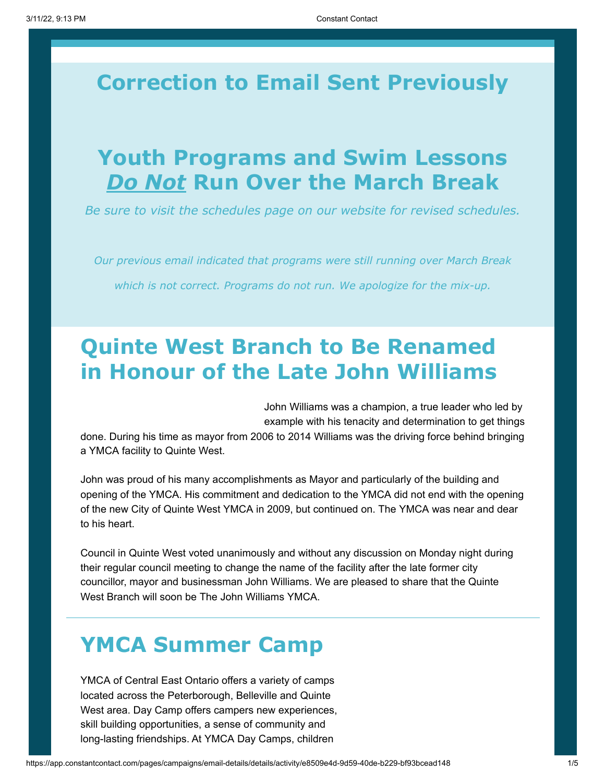# **Correction to Email Sent Previously**

## **Youth Programs and Swim Lessons** *Do Not* **Run Over the March Break**

*Be sure to visit the schedules page on our website for revised schedules.*

*Our previous email indicated that programs were still running over March Break which is not correct. Programs do not run. We apologize for the mix-up.*

# **Quinte West Branch to Be Renamed in Honour of the Late John Williams**

John Williams was a champion, a true leader who led by example with his tenacity and determination to get things

done. During his time as mayor from 2006 to 2014 Williams was the driving force behind bringing a YMCA facility to Quinte West.

John was proud of his many accomplishments as Mayor and particularly of the building and opening of the YMCA. His commitment and dedication to the YMCA did not end with the opening of the new City of Quinte West YMCA in 2009, but continued on. The YMCA was near and dear to his heart.

Council in Quinte West voted unanimously and without any discussion on Monday night during their regular council meeting to change the name of the facility after the late former city councillor, mayor and businessman John Williams. We are pleased to share that the Quinte West Branch will soon be The John Williams YMCA.

# **YMCA Summer Camp**

YMCA of Central East Ontario offers a variety of camps located across the Peterborough, Belleville and Quinte West area. Day Camp offers campers new experiences, skill building opportunities, a sense of community and long-lasting friendships. At YMCA Day Camps, children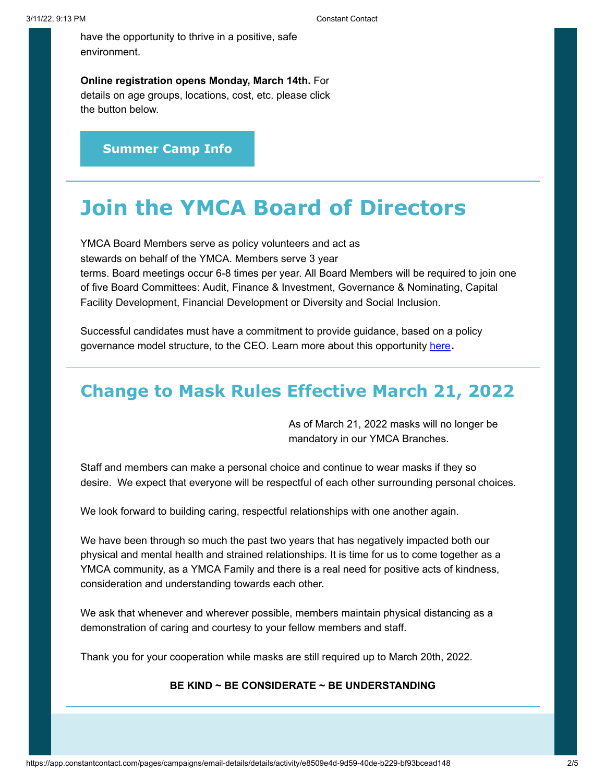have the opportunity to thrive in a positive, safe environment.

**Online registration opens Monday, March 14th.** For details on age groups, locations, cost, etc. please click the button below.

**[Summer Camp Info](https://ymcaofceo.ca/camp/)**

## **Join the YMCA Board of Directors**

YMCA Board Members serve as policy volunteers and act as stewards on behalf of the YMCA. Members serve 3 year terms. Board meetings occur 6-8 times per year. All Board Members will be required to join one of five Board Committees: Audit, Finance & Investment, Governance & Nominating, Capital Facility Development, Financial Development or Diversity and Social Inclusion.

Successful candidates must have a commitment to provide guidance, based on a policy governance model structure, to the CEO. Learn more about this opportunity <u>[here](https://ymcaofceo.ca/wp-content/uploads/2022/03/Board-Recruitment-Ad-2022-1.pdf)</u>.

## **Change to Mask Rules Effective March 21, 2022**

As of March 21, 2022 masks will no longer be mandatory in our YMCA Branches.

Staff and members can make a personal choice and continue to wear masks if they so desire. We expect that everyone will be respectful of each other surrounding personal choices.

We look forward to building caring, respectful relationships with one another again.

We have been through so much the past two years that has negatively impacted both our physical and mental health and strained relationships. It is time for us to come together as a YMCA community, as a YMCA Family and there is a real need for positive acts of kindness, consideration and understanding towards each other.

We ask that whenever and wherever possible, members maintain physical distancing as a demonstration of caring and courtesy to your fellow members and staff.

Thank you for your cooperation while masks are still required up to March 20th, 2022.

### **BE KIND ~ BE CONSIDERATE ~ BE UNDERSTANDING**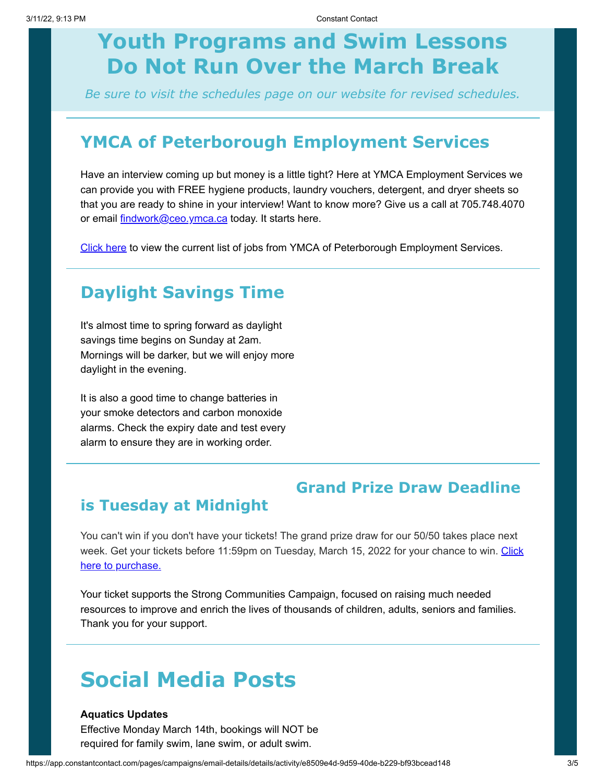# **Youth Programs and Swim Lessons Do Not Run Over the March Break**

*Be sure to visit the schedules page on our website for revised schedules.*

## **YMCA of Peterborough Employment Services**

Have an interview coming up but money is a little tight? Here at YMCA Employment Services we can provide you with FREE hygiene products, laundry vouchers, detergent, and dryer sheets so that you are ready to shine in your interview! Want to know more? Give us a call at 705.748.4070 or email *[findwork@ceo.ymca.ca](mailto:findwork@ceo.ymca.ca)* today. It starts here.

[Click here](https://ymcaofceo.ca/employment-services/for-job-seekers/weekly-job-list/) to view the current list of jobs from YMCA of Peterborough Employment Services.

## **Daylight Savings Time**

It's almost time to spring forward as daylight savings time begins on Sunday at 2am. Mornings will be darker, but we will enjoy more daylight in the evening.

It is also a good time to change batteries in your smoke detectors and carbon monoxide alarms. Check the expiry date and test every alarm to ensure they are in working order.

## **Grand Prize Draw Deadline**

### **is Tuesday at Midnight**

You can't win if you don't have your tickets! The grand prize draw for our 50/50 takes place next [week. Get your tickets before 11:59pm on Tuesday, March 15, 2022 for your chance to win. Click](https://www.ymcaceo5050.ca/) here to purchase.

Your ticket supports the Strong Communities Campaign, focused on raising much needed resources to improve and enrich the lives of thousands of children, adults, seniors and families. Thank you for your support.

## **Social Media Posts**

#### **Aquatics Updates**

Effective Monday March 14th, bookings will NOT be required for family swim, lane swim, or adult swim.